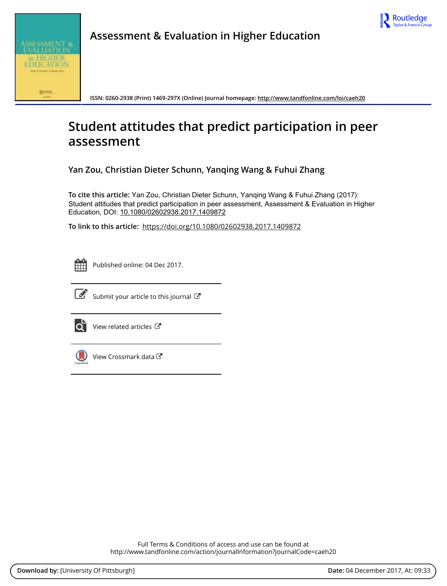



**Assessment & Evaluation in Higher Education**

**ISSN: 0260-2938 (Print) 1469-297X (Online) Journal homepage: <http://www.tandfonline.com/loi/caeh20>**

# **Student attitudes that predict participation in peer assessment**

**Yan Zou, Christian Dieter Schunn, Yanqing Wang & Fuhui Zhang**

**To cite this article:** Yan Zou, Christian Dieter Schunn, Yanqing Wang & Fuhui Zhang (2017): Student attitudes that predict participation in peer assessment, Assessment & Evaluation in Higher Education, DOI: [10.1080/02602938.2017.1409872](http://www.tandfonline.com/action/showCitFormats?doi=10.1080/02602938.2017.1409872)

**To link to this article:** <https://doi.org/10.1080/02602938.2017.1409872>



Published online: 04 Dec 2017.



 $\overrightarrow{S}$  [Submit your article to this journal](http://www.tandfonline.com/action/authorSubmission?journalCode=caeh20&show=instructions)  $\overrightarrow{S}$ 



[View related articles](http://www.tandfonline.com/doi/mlt/10.1080/02602938.2017.1409872) C



[View Crossmark data](http://crossmark.crossref.org/dialog/?doi=10.1080/02602938.2017.1409872&domain=pdf&date_stamp=2017-12-04) $\mathbb{C}$ 

Full Terms & Conditions of access and use can be found at <http://www.tandfonline.com/action/journalInformation?journalCode=caeh20>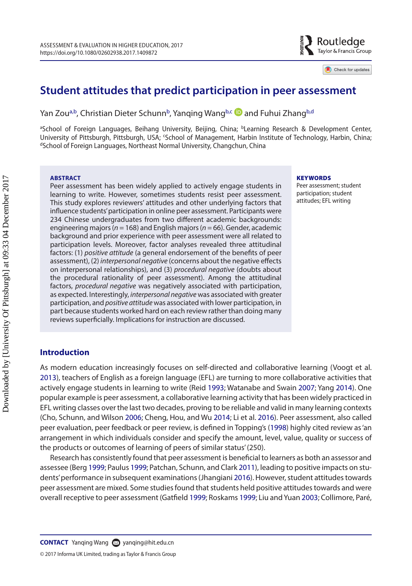# **Student attitudes that predict participation in peer assessment**

Yan Zou<sup>a,b</sup>, Christian Dieter Schunn<sup>b</sup>, Yanging Wang<sup>b[,c](#page-1-2)</sup> **D** [a](http://orcid.org/0000-0002-5961-0482)nd Fuhui Zhang<sup>[b](#page-1-1)[,d](#page-1-3)</sup>

<span id="page-1-2"></span><span id="page-1-1"></span><span id="page-1-0"></span><sup>a</sup>School of Foreign Languages, Beihang University, Beijing, China; bLearning Research & Development Center, University of Pittsburgh, Pittsburgh, USA; 'School of Management, Harbin Institute of Technology, Harbin, China;<br><sup>d</sup>School of Foreign Languages, Northeast Normal University, Changchun, China

#### **ABSTRACT**

Peer assessment has been widely applied to actively engage students in learning to write. However, sometimes students resist peer assessment. This study explores reviewers' attitudes and other underlying factors that influence students' participation in online peer assessment. Participants were 234 Chinese undergraduates from two different academic backgrounds: engineering majors (*n* = 168) and English majors (*n* = 66). Gender, academic background and prior experience with peer assessment were all related to participation levels. Moreover, factor analyses revealed three attitudinal factors: (1) *positive attitude* (a general endorsement of the benefits of peer assessment), (2) *interpersonal negative* (concerns about the negative effects on interpersonal relationships), and (3) *procedural negative* (doubts about the procedural rationality of peer assessment). Among the attitudinal factors, *procedural negative* was negatively associated with participation, as expected. Interestingly, *interpersonal negative* was associated with greater participation, and *positive attitude* was associated with lower participation, in part because students worked hard on each review rather than doing many reviews superficially. Implications for instruction are discussed.

#### <span id="page-1-3"></span>**KEYWORDS**

<span id="page-1-18"></span><span id="page-1-17"></span><span id="page-1-15"></span><span id="page-1-14"></span><span id="page-1-13"></span><span id="page-1-11"></span><span id="page-1-10"></span><span id="page-1-9"></span><span id="page-1-8"></span><span id="page-1-5"></span>Peer assessment; student participation; student attitudes; EFL writing

Routledge Taylor & Francis Group

Check for updates

# **Introduction**

<span id="page-1-16"></span>As modern education increasingly focuses on self-directed and collaborative learning (Voogt et al. [2013](#page-12-0)), teachers of English as a foreign language (EFL) are turning to more collaborative activities that actively engage students in learning to write (Reid [1993](#page-12-1); Watanabe and Swain [2007;](#page-12-2) Yang [2014\)](#page-12-3). One popular example is peer assessment, a collaborative learning activity that has been widely practiced in EFL writing classes over the last two decades, proving to be reliable and valid in many learning contexts (Cho, Schunn, and Wilson [2006](#page-11-0); Cheng, Hou, and Wu [2014](#page-11-1); Li et al. [2016](#page-11-2)). Peer assessment, also called peer evaluation, peer feedback or peer review, is defined in Topping's ([1998](#page-12-4)) highly cited review as 'an arrangement in which individuals consider and specify the amount, level, value, quality or success of the products or outcomes of learning of peers of similar status' (250).

<span id="page-1-12"></span><span id="page-1-7"></span><span id="page-1-6"></span><span id="page-1-4"></span>Research has consistently found that peer assessment is beneficial to learners as both an assessor and assessee (Berg [1999](#page-11-3); Paulus [1999;](#page-12-5) Patchan, Schunn, and Clark [2011](#page-12-6)), leading to positive impacts on students' performance in subsequent examinations (Jhangiani [2016\)](#page-11-4). However, student attitudes towards peer assessment are mixed. Some studies found that students held positive attitudes towards and were overall receptive to peer assessment (Gatfield [1999](#page-11-5); Roskams [1999](#page-12-7); Liu and Yuan [2003;](#page-11-6) Collimore, Paré,

© 2017 Informa UK Limited, trading as Taylor & Francis Group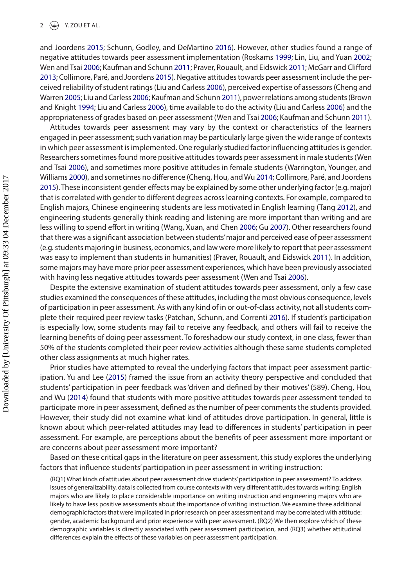<span id="page-2-14"></span><span id="page-2-10"></span><span id="page-2-9"></span><span id="page-2-7"></span><span id="page-2-6"></span><span id="page-2-5"></span><span id="page-2-4"></span><span id="page-2-2"></span>and Joordens [2015;](#page-11-7) Schunn, Godley, and DeMartino [2016](#page-12-8)). However, other studies found a range of negative attitudes towards peer assessment implementation (Roskams [1999](#page-12-7); Lin, Liu, and Yuan [2002](#page-11-8); Wen and Tsai [2006;](#page-12-9) Kaufman and Schunn [2011](#page-11-9); Praver, Rouault, and Eidswick [2011](#page-12-10); McGarr and Clifford [2013](#page-11-10); Collimore, Paré, and Joordens [2015\)](#page-11-7). Negative attitudes towards peer assessment include the perceived reliability of student ratings (Liu and Carless [2006\)](#page-11-11), perceived expertise of assessors (Cheng and Warren [2005;](#page-11-12) Liu and Carless [2006;](#page-11-11) Kaufman and Schunn [2011\)](#page-11-9), power relations among students (Brown and Knight [1994;](#page-11-13) Liu and Carless [2006](#page-11-11)), time available to do the activity (Liu and Carless [2006](#page-11-11)) and the appropriateness of grades based on peer assessment (Wen and Tsai [2006;](#page-12-9) Kaufman and Schunn [2011\)](#page-11-9).

<span id="page-2-13"></span><span id="page-2-11"></span><span id="page-2-1"></span><span id="page-2-0"></span>Attitudes towards peer assessment may vary by the context or characteristics of the learners engaged in peer assessment; such variation may be particularly large given the wide range of contexts in which peer assessment is implemented. One regularly studied factor influencing attitudes is gender. Researchers sometimes found more positive attitudes towards peer assessment in male students (Wen and Tsai [2006\)](#page-12-9), and sometimes more positive attitudes in female students (Warrington, Younger, and Williams [2000](#page-12-11)), and sometimes no difference (Cheng, Hou, and Wu [2014;](#page-11-1) Collimore, Paré, and Joordens [2015](#page-11-7)). These inconsistent gender effects may be explained by some other underlying factor (e.g. major) that is correlated with gender to different degrees across learning contexts. For example, compared to English majors, Chinese engineering students are less motivated in English learning (Tang [2012](#page-12-12)), and engineering students generally think reading and listening are more important than writing and are less willing to spend effort in writing (Wang, Xuan, and Chen [2006](#page-12-13); Gu [2007](#page-11-14)). Other researchers found that there was a significant association between students' major and perceived ease of peer assessment (e.g. students majoring in business, economics, and law were more likely to report that peer assessment was easy to implement than students in humanities) (Praver, Rouault, and Eidswick [2011\)](#page-12-10). In addition, some majors may have more prior peer assessment experiences, which have been previously associated with having less negative attitudes towards peer assessment (Wen and Tsai [2006\)](#page-12-9).

<span id="page-2-12"></span><span id="page-2-8"></span><span id="page-2-3"></span>Despite the extensive examination of student attitudes towards peer assessment, only a few case studies examined the consequences of these attitudes, including the most obvious consequence, levels of participation in peer assessment. As with any kind of in or out-of-class activity, not all students complete their required peer review tasks (Patchan, Schunn, and Correnti [2016\)](#page-12-14). If student's participation is especially low, some students may fail to receive any feedback, and others will fail to receive the learning benefits of doing peer assessment. To foreshadow our study context, in one class, fewer than 50% of the students completed their peer review activities although these same students completed other class assignments at much higher rates.

<span id="page-2-15"></span>Prior studies have attempted to reveal the underlying factors that impact peer assessment participation. Yu and Lee ([2015](#page-12-15)) framed the issue from an activity theory perspective and concluded that students' participation in peer feedback was 'driven and defined by their motives' (589). Cheng, Hou, and Wu [\(2014\)](#page-11-1) found that students with more positive attitudes towards peer assessment tended to participate more in peer assessment, defined as the number of peer comments the students provided. However, their study did not examine what kind of attitudes drove participation. In general, little is known about which peer-related attitudes may lead to differences in students' participation in peer assessment. For example, are perceptions about the benefits of peer assessment more important or are concerns about peer assessment more important?

Based on these critical gaps in the literature on peer assessment, this study explores the underlying factors that influence students' participation in peer assessment in writing instruction:

(RQ1) What kinds of attitudes about peer assessment drive students' participation in peer assessment? To address issues of generalizability, data is collected from course contexts with very different attitudes towards writing: English majors who are likely to place considerable importance on writing instruction and engineering majors who are likely to have less positive assessments about the importance of writing instruction. We examine three additional demographic factors that were implicated in prior research on peer assessment and may be correlated with attitude: gender, academic background and prior experience with peer assessment. (RQ2) We then explore which of these demographic variables is directly associated with peer assessment participation, and (RQ3) whether attitudinal differences explain the effects of these variables on peer assessment participation.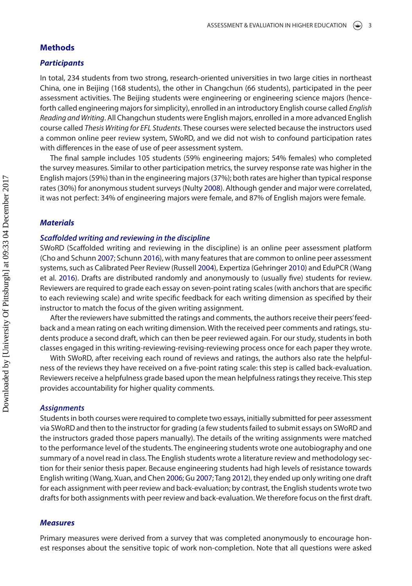# **Methods**

#### *Participants*

In total, 234 students from two strong, research-oriented universities in two large cities in northeast China, one in Beijing (168 students), the other in Changchun (66 students), participated in the peer assessment activities. The Beijing students were engineering or engineering science majors (henceforth called engineering majors for simplicity), enrolled in an introductory English course called *English Reading and Writing*. All Changchun students were English majors, enrolled in a more advanced English course called *Thesis Writing for EFL Students*. These courses were selected because the instructors used a common online peer review system, SWoRD, and we did not wish to confound participation rates with differences in the ease of use of peer assessment system.

<span id="page-3-2"></span>The final sample includes 105 students (59% engineering majors; 54% females) who completed the survey measures. Similar to other participation metrics, the survey response rate was higher in the English majors (59%) than in the engineering majors (37%); both rates are higher than typical response rates (30%) for anonymous student surveys (Nulty [2008\)](#page-12-16). Although gender and major were correlated, it was not perfect: 34% of engineering majors were female, and 87% of English majors were female.

#### *Materials*

#### *Scaffolded writing and reviewing in the discipline*

<span id="page-3-5"></span><span id="page-3-4"></span><span id="page-3-3"></span><span id="page-3-1"></span><span id="page-3-0"></span>SWoRD (Scaffolded writing and reviewing in the discipline) is an online peer assessment platform (Cho and Schunn [2007](#page-11-15); Schunn [2016](#page-12-17)), with many features that are common to online peer assessment systems, such as Calibrated Peer Review (Russell [2004](#page-12-18)), Expertiza (Gehringer [2010](#page-11-16)) and EduPCR (Wang et al. [2016\)](#page-12-19). Drafts are distributed randomly and anonymously to (usually five) students for review. Reviewers are required to grade each essay on seven-point rating scales (with anchors that are specific to each reviewing scale) and write specific feedback for each writing dimension as specified by their instructor to match the focus of the given writing assignment.

After the reviewers have submitted the ratings and comments, the authors receive their peers' feedback and a mean rating on each writing dimension. With the received peer comments and ratings, students produce a second draft, which can then be peer reviewed again. For our study, students in both classes engaged in this writing-reviewing-revising-reviewing process once for each paper they wrote.

With SWoRD, after receiving each round of reviews and ratings, the authors also rate the helpfulness of the reviews they have received on a five-point rating scale: this step is called back-evaluation. Reviewers receive a helpfulness grade based upon the mean helpfulness ratings they receive. This step provides accountability for higher quality comments.

#### *Assignments*

Students in both courses were required to complete two essays, initially submitted for peer assessment via SWoRD and then to the instructor for grading (a few students failed to submit essays on SWoRD and the instructors graded those papers manually). The details of the writing assignments were matched to the performance level of the students. The engineering students wrote one autobiography and one summary of a novel read in class. The English students wrote a literature review and methodology section for their senior thesis paper. Because engineering students had high levels of resistance towards English writing (Wang, Xuan, and Chen [2006;](#page-12-13) Gu [2007](#page-11-14); Tang [2012](#page-12-12)), they ended up only writing one draft for each assignment with peer review and back-evaluation; by contrast, the English students wrote two drafts for both assignments with peer review and back-evaluation. We therefore focus on the first draft.

#### *Measures*

Primary measures were derived from a survey that was completed anonymously to encourage honest responses about the sensitive topic of work non-completion. Note that all questions were asked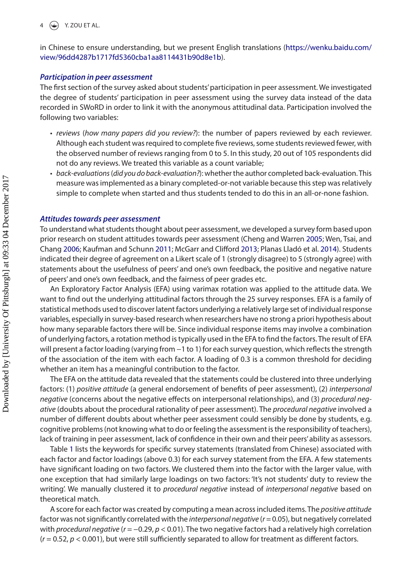in Chinese to ensure understanding, but we present English translations [\(https://wenku.baidu.com/](https://wenku.baidu.com/view/96dd4287b1717fd5360cba1aa8114431b90d8e1b) [view/96dd4287b1717fd5360cba1aa8114431b90d8e1b\)](https://wenku.baidu.com/view/96dd4287b1717fd5360cba1aa8114431b90d8e1b).

#### *Participation in peer assessment*

The first section of the survey asked about students' participation in peer assessment. We investigated the degree of students' participation in peer assessment using the survey data instead of the data recorded in SWoRD in order to link it with the anonymous attitudinal data. Participation involved the following two variables:

- *reviews* (*how many papers did you review?*): the number of papers reviewed by each reviewer. Although each student was required to complete five reviews, some students reviewed fewer, with the observed number of reviews ranging from 0 to 5. In this study, 20 out of 105 respondents did not do any reviews. We treated this variable as a count variable;
- <span id="page-4-0"></span>• *back*-*evaluations* (*did you do back*-*evaluation?*): whether the author completed back-evaluation. This measure was implemented as a binary completed-or-not variable because this step was relatively simple to complete when started and thus students tended to do this in an all-or-none fashion.

#### *Attitudes towards peer assessment*

<span id="page-4-1"></span>To understand what students thought about peer assessment, we developed a survey form based upon prior research on student attitudes towards peer assessment (Cheng and Warren [2005](#page-11-12); Wen, Tsai, and Chang [2006](#page-12-20); Kaufman and Schunn [2011;](#page-11-9) McGarr and Clifford [2013](#page-11-10); Planas Lladó et al. [2014](#page-12-21)). Students indicated their degree of agreement on a Likert scale of 1 (strongly disagree) to 5 (strongly agree) with statements about the usefulness of peers' and one's own feedback, the positive and negative nature of peers' and one's own feedback, and the fairness of peer grades etc.

An Exploratory Factor Analysis (EFA) using varimax rotation was applied to the attitude data. We want to find out the underlying attitudinal factors through the 25 survey responses. EFA is a family of statistical methods used to discover latent factors underlying a relatively large set of individual response variables, especially in survey-based research when researchers have no strong a priori hypothesis about how many separable factors there will be. Since individual response items may involve a combination of underlying factors, a rotation method is typically used in the EFA to find the factors. The result of EFA will present a factor loading (varying from −1 to 1) for each survey question, which reflects the strength of the association of the item with each factor. A loading of 0.3 is a common threshold for deciding whether an item has a meaningful contribution to the factor.

The EFA on the attitude data revealed that the statements could be clustered into three underlying factors: (1) *positive attitude* (a general endorsement of benefits of peer assessment), (2) *interpersonal negative* (concerns about the negative effects on interpersonal relationships), and (3) *procedural negative* (doubts about the procedural rationality of peer assessment). The *procedural negative* involved a number of different doubts about whether peer assessment could sensibly be done by students, e.g. cognitive problems (not knowing what to do or feeling the assessment is the responsibility of teachers), lack of training in peer assessment, lack of confidence in their own and their peers' ability as assessors.

Table [1](#page-5-0) lists the keywords for specific survey statements (translated from Chinese) associated with each factor and factor loadings (above 0.3) for each survey statement from the EFA. A few statements have significant loading on two factors. We clustered them into the factor with the larger value, with one exception that had similarly large loadings on two factors: 'It's not students' duty to review the writing'. We manually clustered it to *procedural negative* instead of *interpersonal negative* based on theoretical match.

A score for each factor was created by computing a mean across included items. The *positive attitude* factor was not significantly correlated with the *interpersonal negative* (*r* = 0.05), but negatively correlated with *procedural negative* (*r* = −0.29, *p* < 0.01). The two negative factors had a relatively high correlation  $(r = 0.52, p < 0.001)$ , but were still sufficiently separated to allow for treatment as different factors.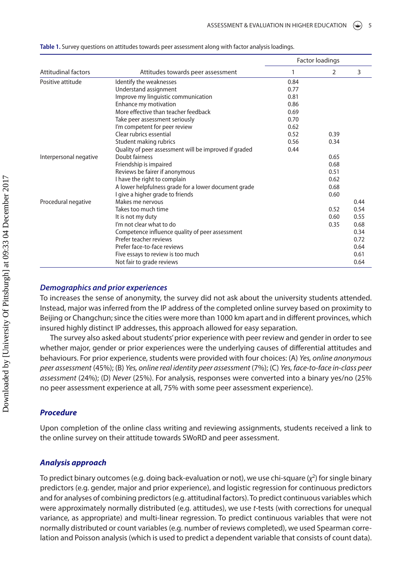|                        |                                                       | <b>Factor loadings</b> |      |      |
|------------------------|-------------------------------------------------------|------------------------|------|------|
| Attitudinal factors    | Attitudes towards peer assessment                     |                        | 2    | 3    |
| Positive attitude      | Identify the weaknesses                               | 0.84                   |      |      |
|                        | Understand assignment                                 | 0.77                   |      |      |
|                        | Improve my linguistic communication                   | 0.81                   |      |      |
|                        | Enhance my motivation                                 | 0.86                   |      |      |
|                        | More effective than teacher feedback                  | 0.69                   |      |      |
|                        | Take peer assessment seriously                        | 0.70                   |      |      |
|                        | I'm competent for peer review                         | 0.62                   |      |      |
|                        | Clear rubrics essential                               | 0.52                   | 0.39 |      |
|                        | Student making rubrics                                | 0.56                   | 0.34 |      |
|                        | Quality of peer assessment will be improved if graded | 0.44                   |      |      |
| Interpersonal negative | Doubt fairness                                        |                        | 0.65 |      |
|                        | Friendship is impaired                                |                        | 0.68 |      |
|                        | Reviews be fairer if anonymous                        |                        | 0.51 |      |
|                        | I have the right to complain                          |                        | 0.62 |      |
|                        | A lower helpfulness grade for a lower document grade  |                        | 0.68 |      |
|                        | I give a higher grade to friends                      |                        | 0.60 |      |
| Procedural negative    | Makes me nervous                                      |                        |      | 0.44 |
|                        | Takes too much time                                   |                        | 0.52 | 0.54 |
|                        | It is not my duty                                     |                        | 0.60 | 0.55 |
|                        | I'm not clear what to do                              |                        | 0.35 | 0.68 |
|                        | Competence influence quality of peer assessment       |                        |      | 0.34 |
|                        | Prefer teacher reviews                                |                        |      | 0.72 |
|                        | Prefer face-to-face reviews                           |                        |      | 0.64 |
|                        | Five essays to review is too much                     |                        |      | 0.61 |
|                        | Not fair to grade reviews                             |                        |      | 0.64 |

<span id="page-5-0"></span>**Table 1.** Survey questions on attitudes towards peer assessment along with factor analysis loadings.

# *Demographics and prior experiences*

To increases the sense of anonymity, the survey did not ask about the university students attended. Instead, major was inferred from the IP address of the completed online survey based on proximity to Beijing or Changchun; since the cities were more than 1000 km apart and in different provinces, which insured highly distinct IP addresses, this approach allowed for easy separation.

The survey also asked about students' prior experience with peer review and gender in order to see whether major, gender or prior experiences were the underlying causes of differential attitudes and behaviours. For prior experience, students were provided with four choices: (A) *Yes, online anonymous peer assessment* (45%); (B) *Yes, online real identity peer assessment* (7%); (C) *Yes, face*-*to*-*face in*-*class peer assessment* (24%); (D) *Never* (25%). For analysis, responses were converted into a binary yes/no (25% no peer assessment experience at all, 75% with some peer assessment experience).

# *Procedure*

Upon completion of the online class writing and reviewing assignments, students received a link to the online survey on their attitude towards SWoRD and peer assessment.

#### *Analysis approach*

To predict binary outcomes (e.g. doing back-evaluation or not), we use chi-square (*χ*2) for single binary predictors (e.g. gender, major and prior experience), and logistic regression for continuous predictors and for analyses of combining predictors (e.g. attitudinal factors). To predict continuous variables which were approximately normally distributed (e.g. attitudes), we use *t*-tests (with corrections for unequal variance, as appropriate) and multi-linear regression. To predict continuous variables that were not normally distributed or count variables (e.g. number of reviews completed), we used Spearman correlation and Poisson analysis (which is used to predict a dependent variable that consists of count data).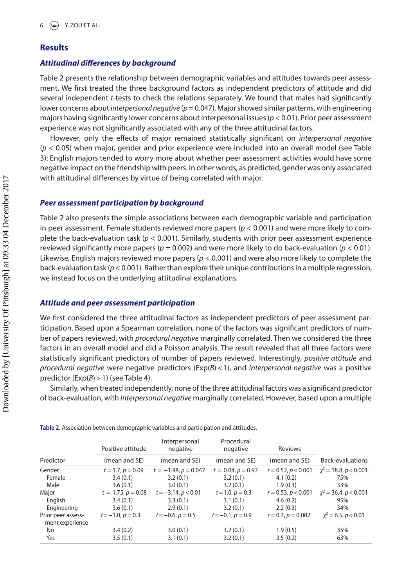# **Results**

#### *Attitudinal differences by background*

Table [2](#page-6-0) presents the relationship between demographic variables and attitudes towards peer assessment. We first treated the three background factors as independent predictors of attitude and did several independent *t*-tests to check the relations separately. We found that males had significantly lower concerns about *interpersonal negative* (*p* = 0.047). Major showed similar patterns, with engineering majors having significantly lower concerns about interpersonal issues (*p* < 0.01). Prior peer assessment experience was not significantly associated with any of the three attitudinal factors.

However, only the effects of major remained statistically significant on *interpersonal negative* (*p* < 0.05) when major, gender and prior experience were included into an overall model (see Table [3\)](#page-7-0): English majors tended to worry more about whether peer assessment activities would have some negative impact on the friendship with peers. In other words, as predicted, gender was only associated with attitudinal differences by virtue of being correlated with major.

#### *Peer assessment participation by background*

Table [2](#page-6-0) also presents the simple associations between each demographic variable and participation in peer assessment. Female students reviewed more papers (*p* < 0.001) and were more likely to complete the back-evaluation task (*p* < 0.001). Similarly, students with prior peer assessment experience reviewed significantly more papers ( $p = 0.002$ ) and were more likely to do back-evaluation ( $p < 0.01$ ). Likewise, English majors reviewed more papers (*p* < 0.001) and were also more likely to complete the back-evaluation task (*p* < 0.001). Rather than explore their unique contributions in a multiple regression, we instead focus on the underlying attitudinal explanations.

# *Attitude and peer assessment participation*

We first considered the three attitudinal factors as independent predictors of peer assessment participation. Based upon a Spearman correlation, none of the factors was significant predictors of number of papers reviewed, with *procedural negative* marginally correlated. Then we considered the three factors in an overall model and did a Poisson analysis. The result revealed that all three factors were statistically significant predictors of number of papers reviewed. Interestingly, *positive attitude* and *procedural negative* were negative predictors (Exp(*B*)<1), and *interpersonal negative* was a positive predictor (Exp(B) > 1) (see Table [4](#page-7-1)).

Similarly, when treated independently, none of the three attitudinal factors was a significant predictor of back-evaluation, with *interpersonal negative* marginally correlated. However, based upon a multiple

|                                       | Positive attitude    | Interpersonal<br>negative | Procedural<br>negative | Reviews               |                            |
|---------------------------------------|----------------------|---------------------------|------------------------|-----------------------|----------------------------|
| Predictor                             | (mean and SE)        | (mean and SE)             | (mean and SE)          | (mean and SE)         | <b>Back-evaluations</b>    |
| Gender                                | $t = 1.7, p = 0.09$  | $t = -1.98, p = 0.047$    | $t = 0.04, p = 0.97$   | $r = 0.52, p < 0.001$ | $\chi^2$ = 18.8, p < 0.001 |
| Female                                | 3.4(0.1)             | 3.2(0.1)                  | 3.2(0.1)               | 4.1(0.2)              | 75%                        |
| Male                                  | 3.6(0.1)             | 3.0(0.1)                  | 3.2(0.1)               | 1.9(0.3)              | 33%                        |
| Major                                 | $t = 1.75, p = 0.08$ | $t = -3.14, p < 0.01$     | $t = 1.0, p = 0.3$     | $r = 0.53, p < 0.001$ | $x^2 = 36.4, p < 0.001$    |
| Enalish                               | 3.4(0.1)             | 3.3(0.1)                  | 3.1(0.1)               | 4.6(0.2)              | 95%                        |
| Engineering                           | 3.6(0.1)             | 2.9(0.1)                  | 3.2(0.1)               | 2.2(0.3)              | 34%                        |
| Prior peer assess-<br>ment experience | $t = -1.0, p = 0.3$  | $t = -0.6, p = 0.5$       | $t = -0.1, p = 0.9$    | $r = 0.3, p = 0.002$  | $x^2 = 6.5, p < 0.01$      |
| No                                    | 3.4(0.2)             | 3.0(0.1)                  | 3.2(0.1)               | 1.9(0.5)              | 35%                        |
| Yes                                   | 3.5(0.1)             | 3.1(0.1)                  | 3.2(0.1)               | 3.5(0.2)              | 63%                        |

<span id="page-6-0"></span>**Table 2.** Association between demographic variables and participation and attitudes.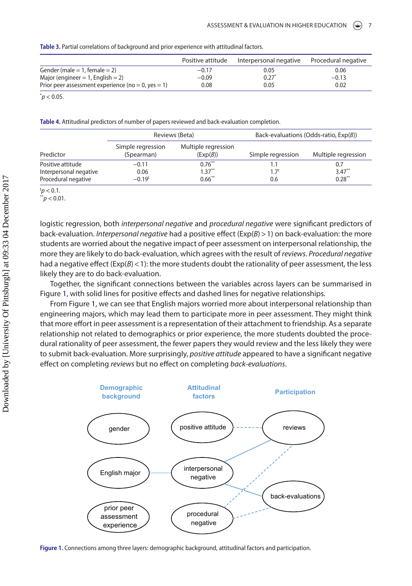<span id="page-7-0"></span>

|  | Table 3. Partial correlations of background and prior experience with attitudinal factors. |
|--|--------------------------------------------------------------------------------------------|
|--|--------------------------------------------------------------------------------------------|

|                                                    | Positive attitude | Interpersonal negative | Procedural negative |
|----------------------------------------------------|-------------------|------------------------|---------------------|
| Gender (male $= 1$ , female $= 2$ )                | $-0.17$           | 0.05                   | 0.06                |
| Major (engineer $= 1$ , English $= 2$ )            | $-0.09$           | $0.27$ <sup>*</sup>    | $-0.13$             |
| Prior peer assessment experience (no = 0, yes = 1) | 0.08              | 0.05                   | 0.02                |
| $p$ < 0.05.                                        |                   |                        |                     |

<span id="page-7-1"></span>**Table 4.** Attitudinal predictors of number of papers reviewed and back-evaluation completion.

|                                 | Reviews (Beta)                  |                   | Back-evaluations (Odds-ratio, $Exp(B)$ ) |  |
|---------------------------------|---------------------------------|-------------------|------------------------------------------|--|
| Simple regression<br>(Spearman) | Multiple regression<br>(Exp(B)) | Simple regression | Multiple regression                      |  |
| $-0.11$<br>0.06<br>$-0.19t$     | $0.76$ **<br>$1.37***$          | $1.7^t$           | 0.7<br>$3.47***$<br>$0.28***$            |  |
|                                 |                                 | $0.66$ **         | 0.6                                      |  |

 $tp < 0.1$ .

 $p^*$   $> 0.01$ .

logistic regression, both *interpersonal negative* and *procedural negative* were significant predictors of back-evaluation. *Interpersonal negative* had a positive effect (Exp(*B*)>1) on back-evaluation: the more students are worried about the negative impact of peer assessment on interpersonal relationship, the more they are likely to do back-evaluation, which agrees with the result of *reviews*. *Procedural negative* had a negative effect ( $Exp(B) < 1$ ): the more students doubt the rationality of peer assessment, the less likely they are to do back-evaluation.

Together, the significant connections between the variables across layers can be summarised in Figure [1,](#page-7-2) with solid lines for positive effects and dashed lines for negative relationships.

From Figure [1](#page-7-2), we can see that English majors worried more about interpersonal relationship than engineering majors, which may lead them to participate more in peer assessment. They might think that more effort in peer assessment is a representation of their attachment to friendship. As a separate relationship not related to demographics or prior experience, the more students doubted the procedural rationality of peer assessment, the fewer papers they would review and the less likely they were to submit back-evaluation. More surprisingly, *positive attitude* appeared to have a significant negative effect on completing *reviews* but no effect on completing *back*-*evaluations*.



<span id="page-7-2"></span>**Figure 1.** Connections among three layers: demographic background, attitudinal factors and participation.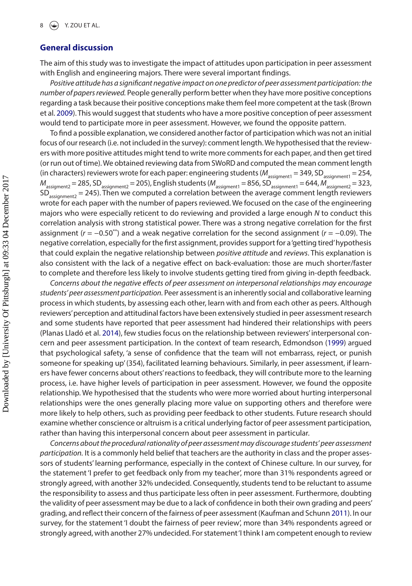#### **General discussion**

The aim of this study was to investigate the impact of attitudes upon participation in peer assessment with English and engineering majors. There were several important findings.

*Positive attitude has a significant negative impact on one predictor of peer assessment participation: the number of papers reviewed.* People generally perform better when they have more positive conceptions regarding a task because their positive conceptions make them feel more competent at the task (Brown et al. [2009](#page-11-17)). This would suggest that students who have a more positive conception of peer assessment would tend to participate more in peer assessment. However, we found the opposite pattern.

<span id="page-8-0"></span>To find a possible explanation, we considered another factor of participation which was not an initial focus of our research (i.e. not included in the survey): comment length. We hypothesised that the reviewers with more positive attitudes might tend to write more comments for each paper, and then get tired (or run out of time). We obtained reviewing data from SWoRD and computed the mean comment length (in characters) reviewers wrote for each paper: engineering students ( $M_{\text{assignment}}$  = 349, SD<sub>assignment1</sub> = 254,  $M_{\text{assignment2}} = 285$ , SD<sub>assignment2</sub> = 205), English students ( $M_{\text{assignment1}} = 856$ , SD $_{\text{assignment1}}^{\text{D}} = 644$ ,  $M_{\text{assignment2}}^{\text{D}} = 323$ ,  $SD_{\text{assimmetry}} = 245$ ). Then we computed a correlation between the average comment length reviewers wrote for each paper with the number of papers reviewed. We focused on the case of the engineering majors who were especially reticent to do reviewing and provided a large enough *N* to conduct this correlation analysis with strong statistical power. There was a strong negative correlation for the first assignment (*r* = −0.50\*\*) and a weak negative correlation for the second assignment (*r* = −0.09). The negative correlation, especially for the first assignment, provides support for a 'getting tired' hypothesis that could explain the negative relationship between *positive attitude* and *reviews*. This explanation is also consistent with the lack of a negative effect on back-evaluation: those are much shorter/faster to complete and therefore less likely to involve students getting tired from giving in-depth feedback.

<span id="page-8-1"></span>*Concerns about the negative effects of peer assessment on interpersonal relationships may encourage students' peer assessment participation.* Peer assessment is an inherently social and collaborative learning process in which students, by assessing each other, learn with and from each other as peers. Although reviewers' perception and attitudinal factors have been extensively studied in peer assessment research and some students have reported that peer assessment had hindered their relationships with peers (Planas Lladó et al. [2014](#page-12-21)), few studies focus on the relationship between reviewers' interpersonal concern and peer assessment participation. In the context of team research, Edmondson [\(1999\)](#page-11-18) argued that psychological safety, 'a sense of confidence that the team will not embarrass, reject, or punish someone for speaking up' (354), facilitated learning behaviours. Similarly, in peer assessment, if learners have fewer concerns about others' reactions to feedback, they will contribute more to the learning process, i.e. have higher levels of participation in peer assessment. However, we found the opposite relationship. We hypothesised that the students who were more worried about hurting interpersonal relationships were the ones generally placing more value on supporting others and therefore were more likely to help others, such as providing peer feedback to other students. Future research should examine whether conscience or altruism is a critical underlying factor of peer assessment participation, rather than having this interpersonal concern about peer assessment in particular.

*Concerns about the procedural rationality of peer assessment may discourage students' peer assessment participation.* It is a commonly held belief that teachers are the authority in class and the proper assessors of students' learning performance, especially in the context of Chinese culture. In our survey, for the statement 'I prefer to get feedback only from my teacher', more than 31% respondents agreed or strongly agreed, with another 32% undecided. Consequently, students tend to be reluctant to assume the responsibility to assess and thus participate less often in peer assessment. Furthermore, doubting the validity of peer assessment may be due to a lack of confidence in both their own grading and peers' grading, and reflect their concern of the fairness of peer assessment (Kaufman and Schunn [2011](#page-11-9)). In our survey, for the statement 'I doubt the fairness of peer review', more than 34% respondents agreed or strongly agreed, with another 27% undecided. For statement 'I think I am competent enough to review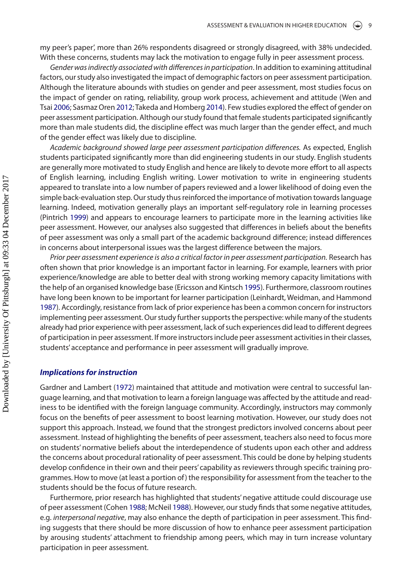my peer's paper', more than 26% respondents disagreed or strongly disagreed, with 38% undecided. With these concerns, students may lack the motivation to engage fully in peer assessment process.

<span id="page-9-7"></span><span id="page-9-6"></span>*Gender was indirectly associated with differences in participation*. In addition to examining attitudinal factors, our study also investigated the impact of demographic factors on peer assessment participation. Although the literature abounds with studies on gender and peer assessment, most studies focus on the impact of gender on rating, reliability, group work process, achievement and attitude (Wen and Tsai [2006;](#page-12-9) Sasmaz Oren [2012;](#page-12-22) Takeda and Homberg [2014\)](#page-12-23). Few studies explored the effect of gender on peer assessment participation. Although our study found that female students participated significantly more than male students did, the discipline effect was much larger than the gender effect, and much of the gender effect was likely due to discipline.

*Academic background showed large peer assessment participation differences.* As expected, English students participated significantly more than did engineering students in our study. English students are generally more motivated to study English and hence are likely to devote more effort to all aspects of English learning, including English writing. Lower motivation to write in engineering students appeared to translate into a low number of papers reviewed and a lower likelihood of doing even the simple back-evaluation step. Our study thus reinforced the importance of motivation towards language learning. Indeed, motivation generally plays an important self-regulatory role in learning processes (Pintrich [1999](#page-12-24)) and appears to encourage learners to participate more in the learning activities like peer assessment. However, our analyses also suggested that differences in beliefs about the benefits of peer assessment was only a small part of the academic background difference; instead differences in concerns about interpersonal issues was the largest difference between the majors.

<span id="page-9-5"></span><span id="page-9-3"></span><span id="page-9-1"></span>*Prior peer assessment experience is also a critical factor in peer assessment participation.* Research has often shown that prior knowledge is an important factor in learning. For example, learners with prior experience/knowledge are able to better deal with strong working memory capacity limitations with the help of an organised knowledge base (Ericsson and Kintsch [1995](#page-11-19)). Furthermore, classroom routines have long been known to be important for learner participation (Leinhardt, Weidman, and Hammond [1987](#page-11-20)). Accordingly, resistance from lack of prior experience has been a common concern for instructors implementing peer assessment. Our study further supports the perspective: while many of the students already had prior experience with peer assessment, lack of such experiences did lead to different degrees of participation in peer assessment. If more instructors include peer assessment activities in their classes, students' acceptance and performance in peer assessment will gradually improve.

#### *Implications for instruction*

<span id="page-9-2"></span>Gardner and Lambert ([1972](#page-11-21)) maintained that attitude and motivation were central to successful language learning, and that motivation to learn a foreign language was affected by the attitude and readiness to be identified with the foreign language community. Accordingly, instructors may commonly focus on the benefits of peer assessment to boost learning motivation. However, our study does not support this approach. Instead, we found that the strongest predictors involved concerns about peer assessment. Instead of highlighting the benefits of peer assessment, teachers also need to focus more on students' normative beliefs about the interdependence of students upon each other and address the concerns about procedural rationality of peer assessment. This could be done by helping students develop confidence in their own and their peers' capability as reviewers through specific training programmes. How to move (at least a portion of) the responsibility for assessment from the teacher to the students should be the focus of future research.

<span id="page-9-4"></span><span id="page-9-0"></span>Furthermore, prior research has highlighted that students' negative attitude could discourage use of peer assessment (Cohen [1988](#page-11-22); McNeil [1988](#page-11-23)). However, our study finds that some negative attitudes, e.g. *interpersonal negative*, may also enhance the depth of participation in peer assessment. This finding suggests that there should be more discussion of how to enhance peer assessment participation by arousing students' attachment to friendship among peers, which may in turn increase voluntary participation in peer assessment.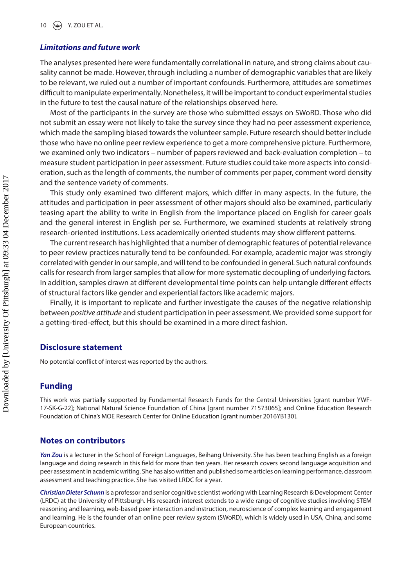#### *Limitations and future work*

The analyses presented here were fundamentally correlational in nature, and strong claims about causality cannot be made. However, through including a number of demographic variables that are likely to be relevant, we ruled out a number of important confounds. Furthermore, attitudes are sometimes difficult to manipulate experimentally. Nonetheless, it will be important to conduct experimental studies in the future to test the causal nature of the relationships observed here.

Most of the participants in the survey are those who submitted essays on SWoRD. Those who did not submit an essay were not likely to take the survey since they had no peer assessment experience, which made the sampling biased towards the volunteer sample. Future research should better include those who have no online peer review experience to get a more comprehensive picture. Furthermore, we examined only two indicators – number of papers reviewed and back-evaluation completion – to measure student participation in peer assessment. Future studies could take more aspects into consideration, such as the length of comments, the number of comments per paper, comment word density and the sentence variety of comments.

This study only examined two different majors, which differ in many aspects. In the future, the attitudes and participation in peer assessment of other majors should also be examined, particularly teasing apart the ability to write in English from the importance placed on English for career goals and the general interest in English per se. Furthermore, we examined students at relatively strong research-oriented institutions. Less academically oriented students may show different patterns.

The current research has highlighted that a number of demographic features of potential relevance to peer review practices naturally tend to be confounded. For example, academic major was strongly correlated with gender in our sample, and will tend to be confounded in general. Such natural confounds calls for research from larger samples that allow for more systematic decoupling of underlying factors. In addition, samples drawn at different developmental time points can help untangle different effects of structural factors like gender and experiential factors like academic majors.

Finally, it is important to replicate and further investigate the causes of the negative relationship between *positive attitude* and student participation in peer assessment. We provided some support for a getting-tired-effect, but this should be examined in a more direct fashion.

#### **Disclosure statement**

No potential conflict of interest was reported by the authors.

# **Funding**

This work was partially supported by Fundamental Research Funds for the Central Universities [grant number YWF-17-SK-G-22]; National Natural Science Foundation of China [grant number 71573065]; and Online Education Research Foundation of China's MOE Research Center for Online Education [grant number 2016YB130].

#### **Notes on contributors**

*Yan Zou* is a lecturer in the School of Foreign Languages, Beihang University. She has been teaching English as a foreign language and doing research in this field for more than ten years. Her research covers second language acquisition and peer assessment in academic writing. She has also written and published some articles on learning performance, classroom assessment and teaching practice. She has visited LRDC for a year.

*Christian Dieter Schunn* is a professor and senior cognitive scientist working with Learning Research & Development Center (LRDC) at the University of Pittsburgh. His research interest extends to a wide range of cognitive studies involving STEM reasoning and learning, web-based peer interaction and instruction, neuroscience of complex learning and engagement and learning. He is the founder of an online peer review system (SWoRD), which is widely used in USA, China, and some European countries.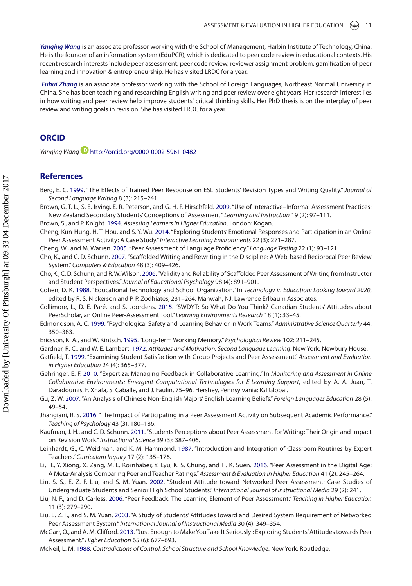*Yanqing Wang* is an associate professor working with the School of Management, Harbin Institute of Technology, China. He is the founder of an information system (EduPCR), which is dedicated to peer code review in educational contexts. His recent research interests include peer assessment, peer code review, reviewer assignment problem, gamification of peer learning and innovation & entrepreneurship. He has visited LRDC for a year.

 *Fuhui Zhang* is an associate professor working with the School of Foreign Languages, Northeast Normal University in China. She has been teaching and researching English writing and peer review over eight years. Her research interest lies in how writing and peer review help improve students' critical thinking skills. Her PhD thesis is on the interplay of peer review and writing goals in revision. She has visited LRDC for a year.

# **ORCID**

*Yanqing Wan[g](http://orcid.org)*  <http://orcid.org/0000-0002-5961-0482>

#### **References**

- <span id="page-11-3"></span>Berg, E. C. [1999](#page-1-4). "The Effects of Trained Peer Response on ESL Students' Revision Types and Writing Quality." *Journal of Second Language Writing* 8 (3): 215–241.
- <span id="page-11-17"></span>Brown, G. T. L., S. E. Irving, E. R. Peterson, and G. H. F. Hirschfeld. [2009](#page-8-0). "Use of Interactive–Informal Assessment Practices: New Zealand Secondary Students' Conceptions of Assessment." *Learning and Instruction* 19 (2): 97–111.

<span id="page-11-13"></span>Brown, S., and P. Knight. [1994.](#page-2-0) *Assessing Learners in Higher Education*. London: Kogan.

- <span id="page-11-1"></span>Cheng, Kun-Hung, H. T. Hou, and S. Y. Wu. [2014](#page-1-5). "Exploring Students' Emotional Responses and Participation in an Online Peer Assessment Activity: A Case Study." *Interactive Learning Environments* 22 (3): 271–287.
- <span id="page-11-12"></span>Cheng, W., and M. Warren. [2005](#page-2-1). "Peer Assessment of Language Proficiency." *Language Testing* 22 (1): 93–121.
- <span id="page-11-15"></span>Cho, K., and C. D. Schunn. [2007.](#page-3-0) "Scaffolded Writing and Rewriting in the Discipline: A Web-based Reciprocal Peer Review System." *Computers & Education* 48 (3): 409–426.
- <span id="page-11-0"></span>Cho, K., C. D. Schunn, and R. W. Wilson. [2006](#page-1-6). "Validity and Reliability of Scaffolded Peer Assessment of Writing from Instructor and Student Perspectives." *Journal of Educational Psychology* 98 (4): 891–901.
- <span id="page-11-22"></span>Cohen, D. K. [1988](#page-9-0). "Educational Technology and School Organization." In *Technology in Education: Looking toward 2020*, edited by R. S. Nickerson and P. P. Zodhiates, 231–264. Mahwah, NJ: Lawrence Erlbaum Associates.
- <span id="page-11-7"></span>Collimore, L., D. E. Paré, and S. Joordens. [2015](#page-2-2). "SWDYT: So What Do You Think? Canadian Students' Attitudes about PeerScholar, an Online Peer-Assessment Tool." *Learning Environments Research* 18 (1): 33–45.
- <span id="page-11-18"></span>Edmondson, A. C. [1999.](#page-8-1) "Psychological Safety and Learning Behavior in Work Teams." *Administrative Science Quarterly* 44: 350–383.
- <span id="page-11-19"></span>Ericsson, K. A., and W. Kintsch. [1995](#page-9-1). "Long-Term Working Memory." *Psychological Review* 102: 211–245.
- <span id="page-11-21"></span>Gardner, R. C., and W. E. Lambert. [1972.](#page-9-2) *Attitudes and Motivation: Second Language Learning*. New York: Newbury House.
- <span id="page-11-5"></span>Gatfield, T. [1999](#page-1-7). "Examining Student Satisfaction with Group Projects and Peer Assessment." *Assessment and Evaluation in Higher Education* 24 (4): 365–377.
- <span id="page-11-16"></span>Gehringer, E. F. [2010](#page-3-1). "Expertiza: Managing Feedback in Collaborative Learning." In *Monitoring and Assessment in Online Collaborative Environments: Emergent Computational Technologies for E-Learning Support*, edited by A. A. Juan, T. Daradoumis, F. Xhafa, S. Caballe, and J. Faulin, 75–96. Hershey, Pennsylvania: IGI Global.
- <span id="page-11-14"></span>Gu, Z. W. [2007.](#page-2-3) "An Analysis of Chinese Non-English Majors' English Learning Beliefs." *Foreign Languages Education* 28 (5): 49–54.
- <span id="page-11-4"></span>Jhangiani, R. S. [2016](#page-1-8). "The Impact of Participating in a Peer Assessment Activity on Subsequent Academic Performance." *Teaching of Psychology* 43 (3): 180–186.
- <span id="page-11-9"></span>Kaufman, J. H., and C. D. Schunn. [2011.](#page-2-4) "Students Perceptions about Peer Assessment for Writing: Their Origin and Impact on Revision Work." *Instructional Science* 39 (3): 387–406.
- <span id="page-11-20"></span>Leinhardt, G., C. Weidman, and K. M. Hammond. [1987.](#page-9-3) "Introduction and Integration of Classroom Routines by Expert Teachers." *Curriculum Inquiry* 17 (2): 135–176.
- <span id="page-11-2"></span>Li, H., Y. Xiong, X. Zang, M. L. Kornhaber, Y. Lyu, K. S. Chung, and H. K. Suen. [2016.](#page-1-9) "Peer Assessment in the Digital Age: A Meta-Analysis Comparing Peer and Teacher Ratings." *Assessment & Evaluation in Higher Education* 41 (2): 245–264.
- <span id="page-11-8"></span>Lin, S. S., E. Z. F. Liu, and S. M. Yuan. [2002.](#page-2-5) "Student Attitude toward Networked Peer Assessment: Case Studies of Undergraduate Students and Senior High School Students." *International Journal of Instructional Media* 29 (2): 241.
- <span id="page-11-11"></span>Liu, N. F., and D. Carless. [2006.](#page-2-6) "Peer Feedback: The Learning Element of Peer Assessment." *Teaching in Higher Education* 11 (3): 279–290.
- <span id="page-11-6"></span>Liu, E. Z. F., and S. M. Yuan. [2003.](#page-1-10) "A Study of Students' Attitudes toward and Desired System Requirement of Networked Peer Assessment System." *International Journal of Instructional Media* 30 (4): 349–354.
- <span id="page-11-10"></span>McGarr, O., and A. M. Clifford. [2013.](#page-2-7) "'Just Enough to Make You Take It Seriously': Exploring Students' Attitudes towards Peer Assessment." *Higher Education* 65 (6): 677–693.
- <span id="page-11-23"></span>McNeil, L. M. [1988.](#page-9-4) *Contradictions of Control: School Structure and School Knowledge*. New York: Routledge.